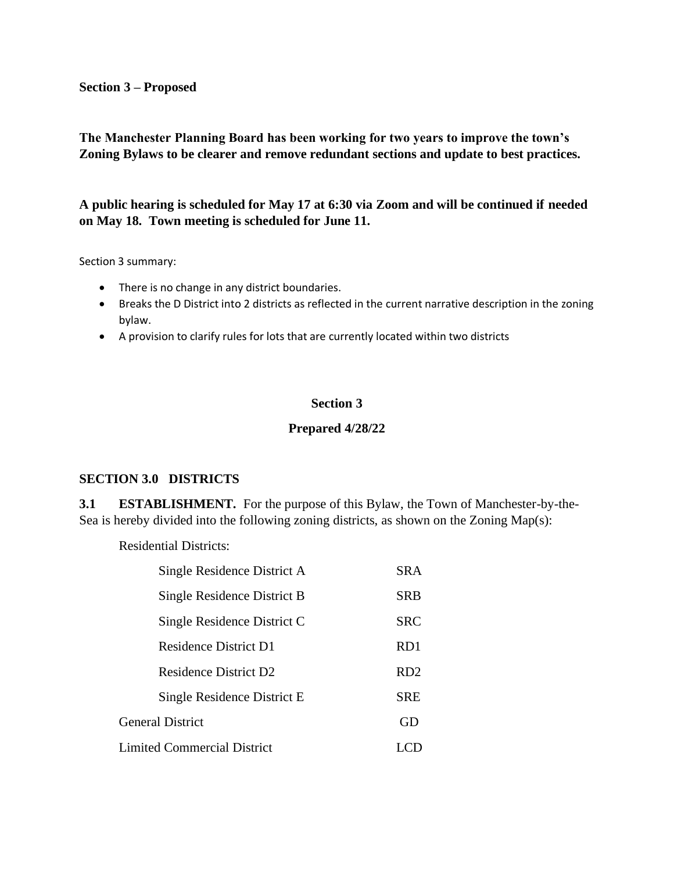#### **Section 3 – Proposed**

**The Manchester Planning Board has been working for two years to improve the town's Zoning Bylaws to be clearer and remove redundant sections and update to best practices.** 

**A public hearing is scheduled for May 17 at 6:30 via Zoom and will be continued if needed on May 18. Town meeting is scheduled for June 11.**

Section 3 summary:

- There is no change in any district boundaries.
- Breaks the D District into 2 districts as reflected in the current narrative description in the zoning bylaw.
- A provision to clarify rules for lots that are currently located within two districts

## **Section 3**

### **Prepared 4/28/22**

### **SECTION 3.0 DISTRICTS**

**3.1 ESTABLISHMENT.** For the purpose of this Bylaw, the Town of Manchester-by-the-Sea is hereby divided into the following zoning districts, as shown on the Zoning Map(s):

Residential Districts:

|                                    | Single Residence District A  | <b>SRA</b>      |  |
|------------------------------------|------------------------------|-----------------|--|
|                                    | Single Residence District B  | <b>SRB</b>      |  |
|                                    | Single Residence District C  | <b>SRC</b>      |  |
|                                    | <b>Residence District D1</b> | RD <sub>1</sub> |  |
|                                    | Residence District D2        | RD <sub>2</sub> |  |
|                                    | Single Residence District E. | <b>SRE</b>      |  |
| <b>General District</b>            |                              | GD              |  |
| <b>Limited Commercial District</b> |                              |                 |  |